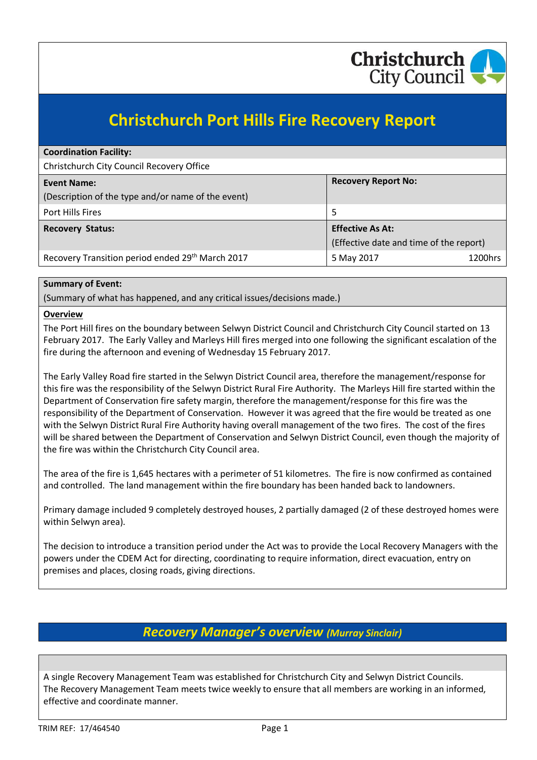

# **Christchurch Port Hills Fire Recovery Report**

| <b>Coordination Facility:</b>                      |                                         |  |
|----------------------------------------------------|-----------------------------------------|--|
| Christchurch City Council Recovery Office          |                                         |  |
| <b>Event Name:</b>                                 | <b>Recovery Report No:</b>              |  |
| (Description of the type and/or name of the event) |                                         |  |
| Port Hills Fires                                   | 5                                       |  |
| <b>Recovery Status:</b>                            | <b>Effective As At:</b>                 |  |
|                                                    | (Effective date and time of the report) |  |
| Recovery Transition period ended 29th March 2017   | 1200hrs<br>5 May 2017                   |  |

### **Summary of Event:**

(Summary of what has happened, and any critical issues/decisions made.)

#### **Overview**

The Port Hill fires on the boundary between Selwyn District Council and Christchurch City Council started on 13 February 2017. The Early Valley and Marleys Hill fires merged into one following the significant escalation of the fire during the afternoon and evening of Wednesday 15 February 2017.

The Early Valley Road fire started in the Selwyn District Council area, therefore the management/response for this fire was the responsibility of the Selwyn District Rural Fire Authority. The Marleys Hill fire started within the Department of Conservation fire safety margin, therefore the management/response for this fire was the responsibility of the Department of Conservation. However it was agreed that the fire would be treated as one with the Selwyn District Rural Fire Authority having overall management of the two fires. The cost of the fires will be shared between the Department of Conservation and Selwyn District Council, even though the majority of the fire was within the Christchurch City Council area.

The area of the fire is 1,645 hectares with a perimeter of 51 kilometres. The fire is now confirmed as contained and controlled. The land management within the fire boundary has been handed back to landowners.

Primary damage included 9 completely destroyed houses, 2 partially damaged (2 of these destroyed homes were within Selwyn area).

The decision to introduce a transition period under the Act was to provide the Local Recovery Managers with the powers under the CDEM Act for directing, coordinating to require information, direct evacuation, entry on premises and places, closing roads, giving directions.

# *Recovery Manager's overview (Murray Sinclair)*

A single Recovery Management Team was established for Christchurch City and Selwyn District Councils. The Recovery Management Team meets twice weekly to ensure that all members are working in an informed, effective and coordinate manner.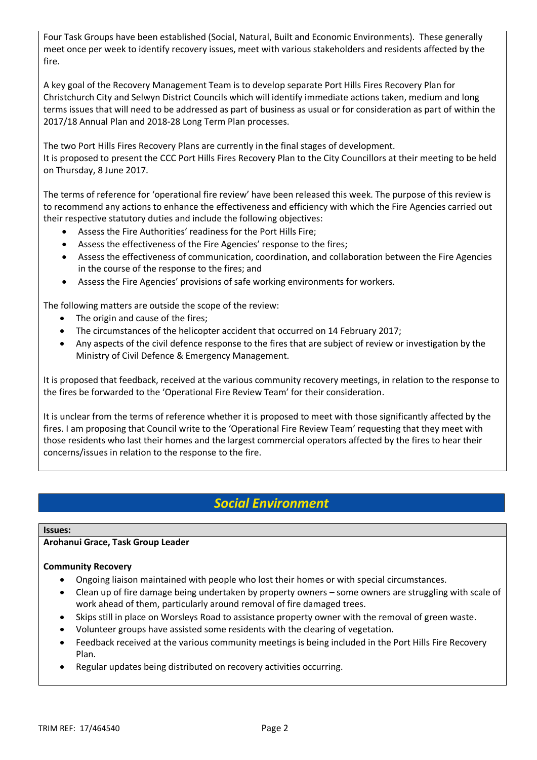Four Task Groups have been established (Social, Natural, Built and Economic Environments). These generally meet once per week to identify recovery issues, meet with various stakeholders and residents affected by the fire.

A key goal of the Recovery Management Team is to develop separate Port Hills Fires Recovery Plan for Christchurch City and Selwyn District Councils which will identify immediate actions taken, medium and long terms issues that will need to be addressed as part of business as usual or for consideration as part of within the 2017/18 Annual Plan and 2018-28 Long Term Plan processes.

The two Port Hills Fires Recovery Plans are currently in the final stages of development. It is proposed to present the CCC Port Hills Fires Recovery Plan to the City Councillors at their meeting to be held on Thursday, 8 June 2017.

The terms of reference for 'operational fire review' have been released this week. The purpose of this review is to recommend any actions to enhance the effectiveness and efficiency with which the Fire Agencies carried out their respective statutory duties and include the following objectives:

- Assess the Fire Authorities' readiness for the Port Hills Fire;
- Assess the effectiveness of the Fire Agencies' response to the fires;
- Assess the effectiveness of communication, coordination, and collaboration between the Fire Agencies in the course of the response to the fires; and
- Assess the Fire Agencies' provisions of safe working environments for workers.

The following matters are outside the scope of the review:

- The origin and cause of the fires;
- The circumstances of the helicopter accident that occurred on 14 February 2017;
- Any aspects of the civil defence response to the fires that are subject of review or investigation by the Ministry of Civil Defence & Emergency Management.

It is proposed that feedback, received at the various community recovery meetings, in relation to the response to the fires be forwarded to the 'Operational Fire Review Team' for their consideration.

It is unclear from the terms of reference whether it is proposed to meet with those significantly affected by the fires. I am proposing that Council write to the 'Operational Fire Review Team' requesting that they meet with those residents who last their homes and the largest commercial operators affected by the fires to hear their concerns/issues in relation to the response to the fire.

# *Social Environment*

### **Issues:**

### **Arohanui Grace, Task Group Leader**

### **Community Recovery**

- Ongoing liaison maintained with people who lost their homes or with special circumstances.
- Clean up of fire damage being undertaken by property owners some owners are struggling with scale of work ahead of them, particularly around removal of fire damaged trees.
- Skips still in place on Worsleys Road to assistance property owner with the removal of green waste.
- Volunteer groups have assisted some residents with the clearing of vegetation.
- Feedback received at the various community meetings is being included in the Port Hills Fire Recovery Plan.
- Regular updates being distributed on recovery activities occurring.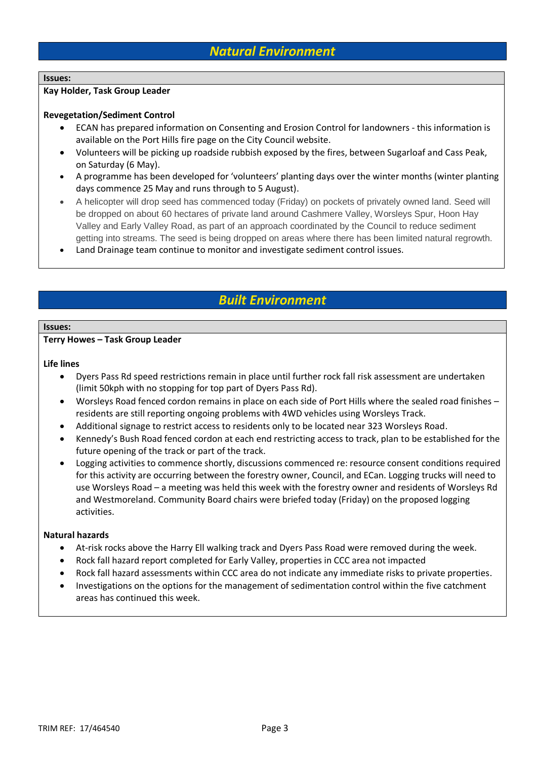# *Natural Environment*

#### **Issues:**

#### **Kay Holder, Task Group Leader**

#### **Revegetation/Sediment Control**

- ECAN has prepared information on Consenting and Erosion Control for landowners this information is available on the Port Hills fire page on the City Council website.
- Volunteers will be picking up roadside rubbish exposed by the fires, between Sugarloaf and Cass Peak, on Saturday (6 May).
- A programme has been developed for 'volunteers' planting days over the winter months (winter planting days commence 25 May and runs through to 5 August).
- A helicopter will drop seed has commenced today (Friday) on pockets of privately owned land. Seed will be dropped on about 60 hectares of private land around Cashmere Valley, Worsleys Spur, Hoon Hay Valley and Early Valley Road, as part of an approach coordinated by the Council to reduce sediment getting into streams. The seed is being dropped on areas where there has been limited natural regrowth.
- Land Drainage team continue to monitor and investigate sediment control issues.

### *Built Environment*

#### **Issues:**

#### **Terry Howes – Task Group Leader**

#### **Life lines**

- Dyers Pass Rd speed restrictions remain in place until further rock fall risk assessment are undertaken (limit 50kph with no stopping for top part of Dyers Pass Rd).
- Worsleys Road fenced cordon remains in place on each side of Port Hills where the sealed road finishes residents are still reporting ongoing problems with 4WD vehicles using Worsleys Track.
- Additional signage to restrict access to residents only to be located near 323 Worsleys Road.
- Kennedy's Bush Road fenced cordon at each end restricting access to track, plan to be established for the future opening of the track or part of the track.
- Logging activities to commence shortly, discussions commenced re: resource consent conditions required for this activity are occurring between the forestry owner, Council, and ECan. Logging trucks will need to use Worsleys Road – a meeting was held this week with the forestry owner and residents of Worsleys Rd and Westmoreland. Community Board chairs were briefed today (Friday) on the proposed logging activities.

#### **Natural hazards**

- At-risk rocks above the Harry Ell walking track and Dyers Pass Road were removed during the week.
- Rock fall hazard report completed for Early Valley, properties in CCC area not impacted
- Rock fall hazard assessments within CCC area do not indicate any immediate risks to private properties.
- Investigations on the options for the management of sedimentation control within the five catchment areas has continued this week.